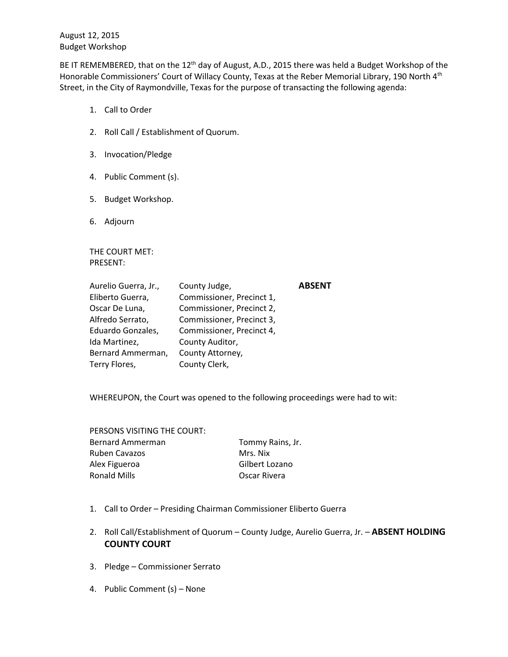August 12, 2015 Budget Workshop

BE IT REMEMBERED, that on the 12<sup>th</sup> day of August, A.D., 2015 there was held a Budget Workshop of the Honorable Commissioners' Court of Willacy County, Texas at the Reber Memorial Library, 190 North 4<sup>th</sup> Street, in the City of Raymondville, Texas for the purpose of transacting the following agenda:

- 1. Call to Order
- 2. Roll Call / Establishment of Quorum.
- 3. Invocation/Pledge
- 4. Public Comment (s).
- 5. Budget Workshop.
- 6. Adjourn

THE COURT MET: PRESENT:

| County Judge,             | <b>ABSENT</b> |
|---------------------------|---------------|
| Commissioner, Precinct 1, |               |
| Commissioner, Precinct 2, |               |
| Commissioner, Precinct 3, |               |
| Commissioner, Precinct 4, |               |
| County Auditor,           |               |
| County Attorney,          |               |
| County Clerk,             |               |
|                           |               |

WHEREUPON, the Court was opened to the following proceedings were had to wit:

PERSONS VISITING THE COURT: Bernard Ammerman Tommy Rains, Jr. Ruben Cavazos Mrs. Nix Alex Figueroa **Gilbert Lozano** Ronald Mills **Canadia Contract Contract Contract Contract Contract Contract Contract Contract Contract Contract Contract Contract Contract Contract Contract Contract Contract Contract Contract Contract Contract Contract Co** 

- 1. Call to Order Presiding Chairman Commissioner Eliberto Guerra
- 2. Roll Call/Establishment of Quorum County Judge, Aurelio Guerra, Jr. **ABSENT HOLDING COUNTY COURT**
- 3. Pledge Commissioner Serrato
- 4. Public Comment (s) None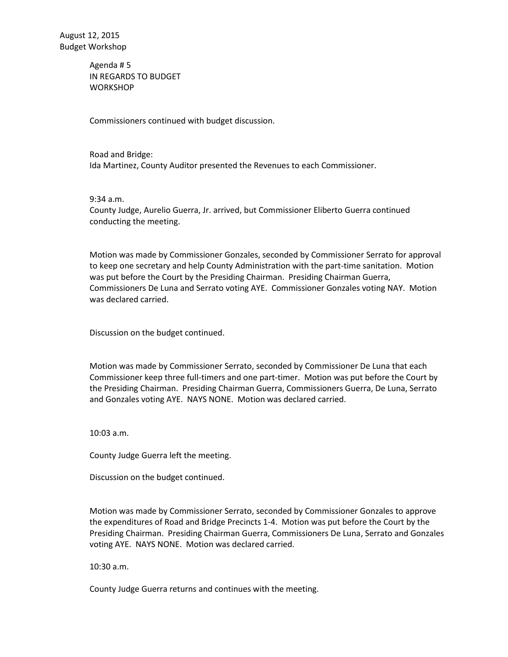Agenda # 5 IN REGARDS TO BUDGET **WORKSHOP** 

Commissioners continued with budget discussion.

Road and Bridge: Ida Martinez, County Auditor presented the Revenues to each Commissioner.

9:34 a.m.

County Judge, Aurelio Guerra, Jr. arrived, but Commissioner Eliberto Guerra continued conducting the meeting.

Motion was made by Commissioner Gonzales, seconded by Commissioner Serrato for approval to keep one secretary and help County Administration with the part-time sanitation. Motion was put before the Court by the Presiding Chairman. Presiding Chairman Guerra, Commissioners De Luna and Serrato voting AYE. Commissioner Gonzales voting NAY. Motion was declared carried.

Discussion on the budget continued.

Motion was made by Commissioner Serrato, seconded by Commissioner De Luna that each Commissioner keep three full-timers and one part-timer. Motion was put before the Court by the Presiding Chairman. Presiding Chairman Guerra, Commissioners Guerra, De Luna, Serrato and Gonzales voting AYE. NAYS NONE. Motion was declared carried.

10:03 a.m.

County Judge Guerra left the meeting.

Discussion on the budget continued.

Motion was made by Commissioner Serrato, seconded by Commissioner Gonzales to approve the expenditures of Road and Bridge Precincts 1-4. Motion was put before the Court by the Presiding Chairman. Presiding Chairman Guerra, Commissioners De Luna, Serrato and Gonzales voting AYE. NAYS NONE. Motion was declared carried.

10:30 a.m.

County Judge Guerra returns and continues with the meeting.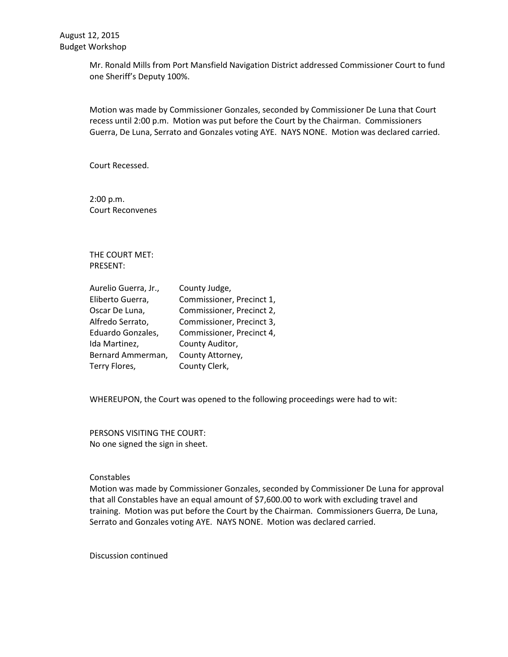Mr. Ronald Mills from Port Mansfield Navigation District addressed Commissioner Court to fund one Sheriff's Deputy 100%.

Motion was made by Commissioner Gonzales, seconded by Commissioner De Luna that Court recess until 2:00 p.m. Motion was put before the Court by the Chairman. Commissioners Guerra, De Luna, Serrato and Gonzales voting AYE. NAYS NONE. Motion was declared carried.

Court Recessed.

2:00 p.m. Court Reconvenes

THE COURT MET: PRESENT:

| Aurelio Guerra, Jr., | County Judge,             |
|----------------------|---------------------------|
| Eliberto Guerra,     | Commissioner, Precinct 1, |
| Oscar De Luna,       | Commissioner, Precinct 2, |
| Alfredo Serrato,     | Commissioner, Precinct 3, |
| Eduardo Gonzales,    | Commissioner, Precinct 4, |
| Ida Martinez,        | County Auditor,           |
| Bernard Ammerman,    | County Attorney,          |
| Terry Flores,        | County Clerk,             |

WHEREUPON, the Court was opened to the following proceedings were had to wit:

PERSONS VISITING THE COURT: No one signed the sign in sheet.

### **Constables**

Motion was made by Commissioner Gonzales, seconded by Commissioner De Luna for approval that all Constables have an equal amount of \$7,600.00 to work with excluding travel and training. Motion was put before the Court by the Chairman. Commissioners Guerra, De Luna, Serrato and Gonzales voting AYE. NAYS NONE. Motion was declared carried.

Discussion continued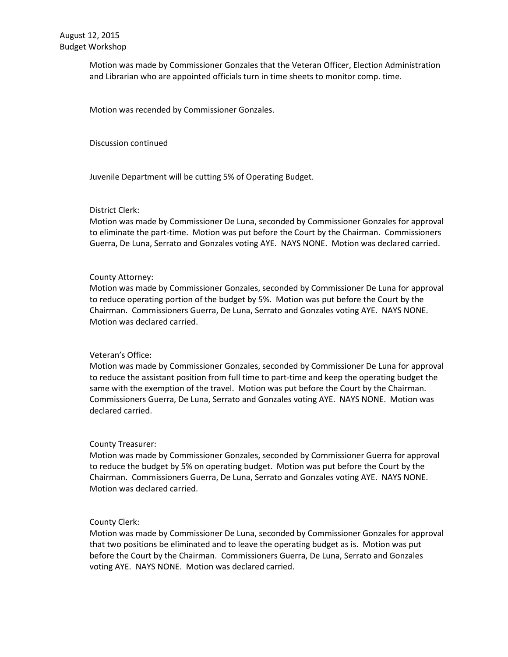Motion was made by Commissioner Gonzales that the Veteran Officer, Election Administration and Librarian who are appointed officials turn in time sheets to monitor comp. time.

Motion was recended by Commissioner Gonzales.

Discussion continued

Juvenile Department will be cutting 5% of Operating Budget.

## District Clerk:

Motion was made by Commissioner De Luna, seconded by Commissioner Gonzales for approval to eliminate the part-time. Motion was put before the Court by the Chairman. Commissioners Guerra, De Luna, Serrato and Gonzales voting AYE. NAYS NONE. Motion was declared carried.

## County Attorney:

Motion was made by Commissioner Gonzales, seconded by Commissioner De Luna for approval to reduce operating portion of the budget by 5%. Motion was put before the Court by the Chairman. Commissioners Guerra, De Luna, Serrato and Gonzales voting AYE. NAYS NONE. Motion was declared carried.

# Veteran's Office:

Motion was made by Commissioner Gonzales, seconded by Commissioner De Luna for approval to reduce the assistant position from full time to part-time and keep the operating budget the same with the exemption of the travel. Motion was put before the Court by the Chairman. Commissioners Guerra, De Luna, Serrato and Gonzales voting AYE. NAYS NONE. Motion was declared carried.

### County Treasurer:

Motion was made by Commissioner Gonzales, seconded by Commissioner Guerra for approval to reduce the budget by 5% on operating budget. Motion was put before the Court by the Chairman. Commissioners Guerra, De Luna, Serrato and Gonzales voting AYE. NAYS NONE. Motion was declared carried.

# County Clerk:

Motion was made by Commissioner De Luna, seconded by Commissioner Gonzales for approval that two positions be eliminated and to leave the operating budget as is. Motion was put before the Court by the Chairman. Commissioners Guerra, De Luna, Serrato and Gonzales voting AYE. NAYS NONE. Motion was declared carried.